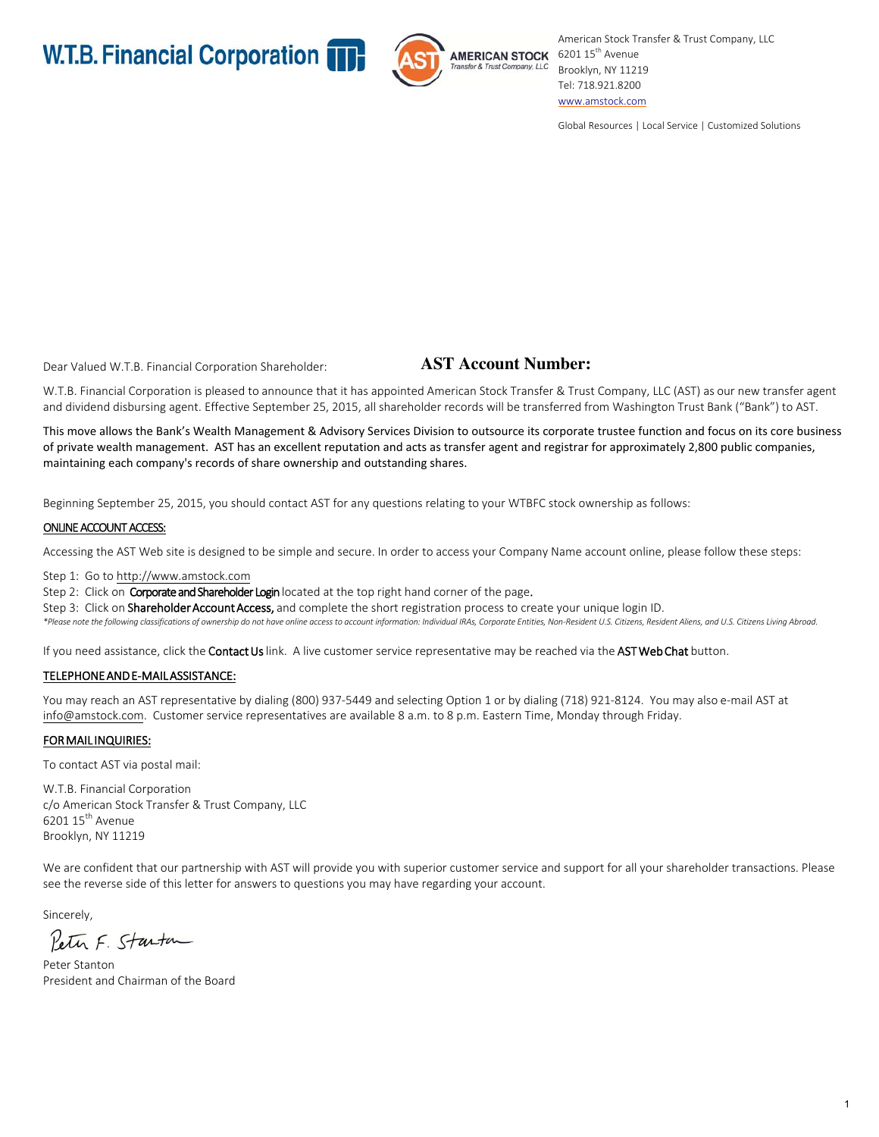

American Stock Transfer & Trust Company, LLC AMERICAN STOCK 6201 15<sup>th</sup> Avenue Brooklyn, NY 11219 Tel: 718.921.8200 www.amstock.com

Global Resources | Local Service | Customized Solutions

Dear Valued W.T.B. Financial Corporation Shareholder:

# **AST Account Number:**

W.T.B. Financial Corporation is pleased to announce that it has appointed American Stock Transfer & Trust Company, LLC (AST) as our new transfer agent and dividend disbursing agent. Effective September 25, 2015, all shareholder records will be transferred from Washington Trust Bank ("Bank") to AST.

This move allows the Bank's Wealth Management & Advisory Services Division to outsource its corporate trustee function and focus on its core business of private wealth management. AST has an excellent reputation and acts as transfer agent and registrar for approximately 2,800 public companies, maintaining each company's records of share ownership and outstanding shares.

Beginning September 25, 2015, you should contact AST for any questions relating to your WTBFC stock ownership as follows:

## ONLINE ACCOUNT ACCESS:

Accessing the AST Web site is designed to be simple and secure. In order to access your Company Name account online, please follow these steps:

Step 1: Go to http://www.amstock.com

Step 2: Click on Corporate and Shareholder Login located at the top right hand corner of the page.

Step 3: Click on Shareholder Account Access, and complete the short registration process to create your unique login ID.

\*Please note the following classifications of ownership do not have online access to account information: Individual IRAs, Corporate Entities, Non-Resident U.S. Citizens, Resident Aliens, and U.S. Citizens Living Abroad.

If you need assistance, click the Contact Us link. A live customer service representative may be reached via the AST Web Chat button.

## TELEPHONE AND E-MAIL ASSISTANCE:

You may reach an AST representative by dialing (800) 937-5449 and selecting Option 1 or by dialing (718) 921-8124. You may also e-mail AST at info@amstock.com. Customer service representatives are available 8 a.m. to 8 p.m. Eastern Time, Monday through Friday.

## FOR MAIL INQUIRIES:

To contact AST via postal mail:

W.T.B. Financial Corporation c/o American Stock Transfer & Trust Company, LLC  $620115^{\text{th}}$  Avenue Brooklyn, NY 11219

We are confident that our partnership with AST will provide you with superior customer service and support for all your shareholder transactions. Please see the reverse side of this letter for answers to questions you may have regarding your account.

Sincerely,

Peter F. Starton

Peter Stanton President and Chairman of the Board